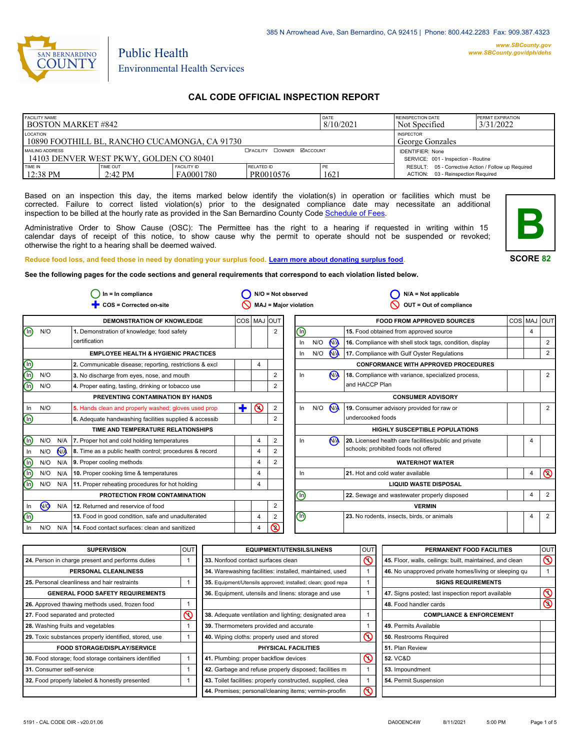

# Environmental Health Services

Public Health

# **CAL CODE OFFICIAL INSPECTION REPORT**

| <b>FACILITY NAME</b>                                      |                                         | <b>DATE</b>                                                    | <b>REINSPECTION DATE</b>            | <b>PERMIT EXPIRATION</b> |                                                     |  |
|-----------------------------------------------------------|-----------------------------------------|----------------------------------------------------------------|-------------------------------------|--------------------------|-----------------------------------------------------|--|
| <b>BOSTON MARKET #842</b>                                 |                                         | 8/10/2021                                                      | Not Specified                       | 3/31/2022                |                                                     |  |
| LOCATION<br>10890 FOOTHILL BL, RANCHO CUCAMONGA, CA 91730 |                                         |                                                                | <b>INSPECTOR</b><br>George Gonzales |                          |                                                     |  |
| MAILING ADDRESS                                           | 14103 DENVER WEST PKWY, GOLDEN CO 80401 | <b>IDENTIFIER: None</b><br>SERVICE: 001 - Inspection - Routine |                                     |                          |                                                     |  |
| TIME IN                                                   | <b>TIME OUT</b>                         | <b>FACILITY ID</b>                                             | RELATED ID                          | PE                       | RESULT: 05 - Corrective Action / Follow up Required |  |
| 12:38 PM                                                  | $2:42 \text{ PM}$                       | FA0001780                                                      | PR0010576                           | 1621                     | ACTION: 03 - Reinspection Required                  |  |

Based on an inspection this day, the items marked below identify the violation(s) in operation or facilities which must be corrected. Failure to correct listed violation(s) prior to the designated compliance date may necessitate an additional inspection to be billed at the hourly rate as provided in the San Bernardino County Co[de Schedule of Fees.](https://codelibrary.amlegal.com/codes/sanbernardino/latest/sanberncty_ca/0-0-0-122474#JD_16.0213B)

Administrative Order to Show Cause (OSC): The Permittee has the right to a hearing if requested in writing within 15 calendar days of receipt of this notice, to show cause why the permit to operate should not be suspended or revoked; otherwise the right to a hearing shall be deemed waived.



**SCORE 82**

**Reduce food loss, and feed those in need by donating your surplus f[ood. Learn more about donating surplus food.](https://wp.sbcounty.gov/dph/programs/ehs/charitable-food-service/)**

**See the following pages for the code sections and general requirements that correspond to each violation listed below.**

|                                |                                                 |            | $In = In$ compliance                                    |             |                |                | $N/O = Not observed$                                               |     |                | $N/A = Not applicable$                                   |     |                |                |
|--------------------------------|-------------------------------------------------|------------|---------------------------------------------------------|-------------|----------------|----------------|--------------------------------------------------------------------|-----|----------------|----------------------------------------------------------|-----|----------------|----------------|
|                                |                                                 |            | COS = Corrected on-site                                 |             |                |                | <b>MAJ = Major violation</b>                                       |     |                | OUT = Out of compliance                                  |     |                |                |
|                                |                                                 |            | <b>DEMONSTRATION OF KNOWLEDGE</b>                       | COS MAJ OUT |                |                |                                                                    |     |                | <b>FOOD FROM APPROVED SOURCES</b>                        | COS | MAJ            | loutl          |
| ⊚                              | N/O                                             |            | 1. Demonstration of knowledge; food safety              |             |                | $\overline{2}$ | ⓪                                                                  |     |                | 15. Food obtained from approved source                   |     | $\overline{4}$ |                |
|                                |                                                 |            | certification                                           |             |                |                | In                                                                 | N/O | <b>MA</b>      | 16. Compliance with shell stock tags, condition, display |     |                | 2              |
|                                | <b>EMPLOYEE HEALTH &amp; HYGIENIC PRACTICES</b> |            |                                                         | In          | N/O            | $\mathbf{M}$   | 17. Compliance with Gulf Oyster Regulations                        |     |                | 2                                                        |     |                |                |
| $\textcircled{\scriptsize{0}}$ |                                                 |            | 2. Communicable disease; reporting, restrictions & excl |             | 4              |                |                                                                    |     |                | <b>CONFORMANCE WITH APPROVED PROCEDURES</b>              |     |                |                |
| ⊚                              | N/O                                             |            | 3. No discharge from eyes, nose, and mouth              |             |                | $\overline{2}$ | In                                                                 |     | N <sub>A</sub> | 18. Compliance with variance, specialized process,       |     |                | 2              |
| ⋒                              | N/O                                             |            | 4. Proper eating, tasting, drinking or tobacco use      |             |                | 2              |                                                                    |     |                | and HACCP Plan                                           |     |                |                |
|                                |                                                 |            | PREVENTING CONTAMINATION BY HANDS                       |             |                |                |                                                                    |     |                | <b>CONSUMER ADVISORY</b>                                 |     |                |                |
| In                             | N/O                                             |            | 5. Hands clean and properly washed; gloves used prop    | ٠           | $\odot$        | 2              | In                                                                 | N/O | M              | 19. Consumer advisory provided for raw or                |     |                | 2              |
| $\textcircled{\scriptsize{1}}$ |                                                 |            | 6. Adequate handwashing facilities supplied & accessib  |             |                | 2              |                                                                    |     |                | undercooked foods                                        |     |                |                |
|                                |                                                 |            | TIME AND TEMPERATURE RELATIONSHIPS                      |             |                |                |                                                                    |     |                | <b>HIGHLY SUSCEPTIBLE POPULATIONS</b>                    |     |                |                |
| $\binom{n}{k}$                 | N/O                                             |            | N/A   7. Proper hot and cold holding temperatures       |             | 4              | $\overline{2}$ | In                                                                 |     | N <sub>A</sub> | 20. Licensed health care facilities/public and private   |     | 4              |                |
| In                             | N/O                                             | $\sqrt{M}$ | 8. Time as a public health control; procedures & record |             | 4              |                |                                                                    |     |                | schools; prohibited foods not offered                    |     |                |                |
| $\bigcirc$                     | N/O                                             |            | $N/A$ 9. Proper cooling methods                         |             | $\overline{4}$ | 2              |                                                                    |     |                | <b>WATER/HOT WATER</b>                                   |     |                |                |
| ⊚                              | N/O                                             | N/A        | 10. Proper cooking time & temperatures                  |             | 4              |                | In                                                                 |     |                | 21. Hot and cold water available                         |     | 4              | $\circledcirc$ |
| (in)                           | N/O                                             | N/A        | 11. Proper reheating procedures for hot holding         |             | 4              |                | <b>LIQUID WASTE DISPOSAL</b>                                       |     |                |                                                          |     |                |                |
|                                |                                                 |            | PROTECTION FROM CONTAMINATION                           |             |                |                | ℗<br>$\overline{4}$<br>22. Sewage and wastewater properly disposed |     | 2              |                                                          |     |                |                |
| In                             | $\sqrt{9}$                                      | N/A        | 12. Returned and reservice of food                      |             |                | 2              |                                                                    |     |                | <b>VERMIN</b>                                            |     |                |                |
| ⋒                              |                                                 |            | 13. Food in good condition, safe and unadulterated      |             | 4              | 2              | $\textcircled{\scriptsize{0}}$                                     |     |                | 23. No rodents, insects, birds, or animals               |     | $\overline{4}$ | 2              |
| In                             | N/O                                             | N/A        | 14. Food contact surfaces: clean and sanitized          |             | 4              | ৎ              |                                                                    |     |                |                                                          |     |                |                |

| <b>SUPERVISION</b>                                    | OUT | <b>EQUIPMENT/UTENSILS/LINENS</b>                             | OU <sub>1</sub>                                                                                                                                                                                                                                                                                                                                                                                                                                                   | PERMANENT FOOD FACILITIES                                | <b>OUT</b>     |
|-------------------------------------------------------|-----|--------------------------------------------------------------|-------------------------------------------------------------------------------------------------------------------------------------------------------------------------------------------------------------------------------------------------------------------------------------------------------------------------------------------------------------------------------------------------------------------------------------------------------------------|----------------------------------------------------------|----------------|
| 24. Person in charge present and performs duties      |     | 33. Nonfood contact surfaces clean                           | $\mathcal{S}$                                                                                                                                                                                                                                                                                                                                                                                                                                                     | 45. Floor, walls, ceilings: built, maintained, and clean | $\infty$       |
| PERSONAL CLEANLINESS                                  |     | 34. Warewashing facilities: installed, maintained, used      |                                                                                                                                                                                                                                                                                                                                                                                                                                                                   | 46. No unapproved private homes/living or sleeping qu    |                |
| 25. Personal cleanliness and hair restraints          |     | 35. Equipment/Utensils approved; installed; clean; good repa |                                                                                                                                                                                                                                                                                                                                                                                                                                                                   | <b>SIGNS REQUIREMENTS</b>                                |                |
| <b>GENERAL FOOD SAFETY REQUIREMENTS</b>               |     | 36. Equipment, utensils and linens: storage and use          |                                                                                                                                                                                                                                                                                                                                                                                                                                                                   | 47. Signs posted; last inspection report available       | $\infty$       |
| 26. Approved thawing methods used, frozen food        |     |                                                              |                                                                                                                                                                                                                                                                                                                                                                                                                                                                   | 48. Food handler cards                                   | $\circledcirc$ |
| 27. Food separated and protected                      | ⋒   | 38. Adequate ventilation and lighting; designated area       |                                                                                                                                                                                                                                                                                                                                                                                                                                                                   | <b>COMPLIANCE &amp; ENFORCEMENT</b>                      |                |
| 28. Washing fruits and vegetables                     |     | 39. Thermometers provided and accurate                       |                                                                                                                                                                                                                                                                                                                                                                                                                                                                   | 49. Permits Available                                    |                |
| 29. Toxic substances properly identified, stored, use |     | 40. Wiping cloths: properly used and stored                  | $\mathcal{S}% _{M_{1},M_{2}}^{\alpha,\beta}(\mathcal{M}_{M_{1},M_{2}}^{\alpha,\beta}(\mathcal{M}_{M_{1},M_{2}}^{\alpha,\beta}(\mathcal{M}_{M_{1},M_{2}}^{\alpha,\beta}(\mathcal{M}_{M_{1},M_{2}}^{\alpha,\beta}(\mathcal{M}_{M_{1},M_{2}}^{\alpha,\beta}(\mathcal{M}_{M_{1},M_{2}}^{\alpha,\beta}(\mathcal{M}_{M_{1},M_{2}}^{\alpha,\beta}(\mathcal{M}_{M_{1},M_{2}}^{\alpha,\beta}(\mathcal{M}_{M_{1},M_{2}}^{\alpha,\beta}(\mathcal{M}_{M_{1},M_{2}}^{\alpha,\$ | 50. Restrooms Required                                   |                |
| <b>FOOD STORAGE/DISPLAY/SERVICE</b>                   |     | <b>PHYSICAL FACILITIES</b>                                   |                                                                                                                                                                                                                                                                                                                                                                                                                                                                   | 51. Plan Review                                          |                |
| 30. Food storage; food storage containers identified  |     | 41. Plumbing: proper backflow devices                        | $\infty$                                                                                                                                                                                                                                                                                                                                                                                                                                                          | <b>52. VC&amp;D</b>                                      |                |
| 31. Consumer self-service                             |     | 42. Garbage and refuse properly disposed; facilities m       |                                                                                                                                                                                                                                                                                                                                                                                                                                                                   | 53. Impoundment                                          |                |
| 32. Food properly labeled & honestly presented        |     | 43. Toilet facilities: properly constructed, supplied, clea  |                                                                                                                                                                                                                                                                                                                                                                                                                                                                   | 54. Permit Suspension                                    |                |
|                                                       |     | 44. Premises; personal/cleaning items; vermin-proofin        | ଟ                                                                                                                                                                                                                                                                                                                                                                                                                                                                 |                                                          |                |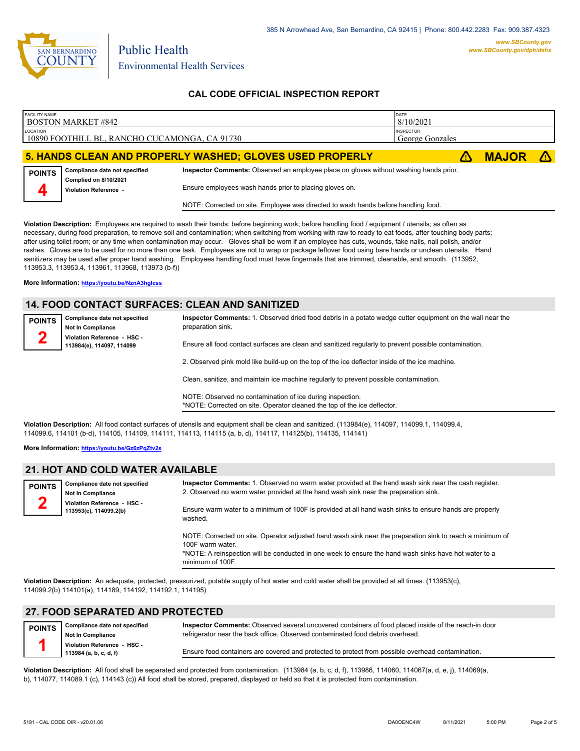

# **CAL CODE OFFICIAL INSPECTION REPORT**

| <b>FACILITY NAME</b> | <b>BOSTON MARKET #842</b>                      |                                                                                       | DATE<br>8/10/2021                   |              |  |
|----------------------|------------------------------------------------|---------------------------------------------------------------------------------------|-------------------------------------|--------------|--|
| LOCATION             | 10890 FOOTHILL BL, RANCHO CUCAMONGA, CA 91730  |                                                                                       | <b>INSPECTOR</b><br>George Gonzales |              |  |
|                      |                                                | 5. HANDS CLEAN AND PROPERLY WASHED; GLOVES USED PROPERLY                              |                                     | <b>MAJOR</b> |  |
| <b>POINTS</b>        | Compliance date not specified                  | Inspector Comments: Observed an employee place on gloves without washing hands prior. |                                     |              |  |
|                      | Complied on 8/10/2021<br>Violation Reference - | Ensure employees wash hands prior to placing gloves on.                               |                                     |              |  |
|                      |                                                | NOTE: Corrected on site. Employee was directed to wash hands before handling food.    |                                     |              |  |

**Violation Description:** Employees are required to wash their hands: before beginning work; before handling food / equipment / utensils; as often as necessary, during food preparation, to remove soil and contamination; when switching from working with raw to ready to eat foods, after touching body parts; after using toilet room; or any time when contamination may occur. Gloves shall be worn if an employee has cuts, wounds, fake nails, nail polish, and/or rashes. Gloves are to be used for no more than one task. Employees are not to wrap or package leftover food using bare hands or unclean utensils. Hand sanitizers may be used after proper hand washing. Employees handling food must have fingernails that are trimmed, cleanable, and smooth. (113952, 113953.3, 113953.4, 113961, 113968, 113973 (b-f))

**More Information: <https://youtu.be/NznA3hgIcss>**

# **14. FOOD CONTACT SURFACES: CLEAN AND SANITIZED**

| <b>POINTS</b> | Compliance date not specified<br><b>Not In Compliance</b> | Inspector Comments: 1. Observed dried food debris in a potato wedge cutter equipment on the wall near the<br>preparation sink.                                                                                                    |
|---------------|-----------------------------------------------------------|-----------------------------------------------------------------------------------------------------------------------------------------------------------------------------------------------------------------------------------|
|               | Violation Reference - HSC -<br>113984(e), 114097, 114099  | Ensure all food contact surfaces are clean and sanitized regularly to prevent possible contamination.                                                                                                                             |
|               |                                                           | 2. Observed pink mold like build-up on the top of the ice deflector inside of the ice machine.                                                                                                                                    |
|               |                                                           | Clean, sanitize, and maintain ice machine regularly to prevent possible contamination.                                                                                                                                            |
|               |                                                           | $\frac{1}{2}$ . The state of the state of the state of the state of the state of the state of the state of the state of the state of the state of the state of the state of the state of the state of the state of the state of t |

NOTE: Observed no contamination of ice during inspection. \*NOTE: Corrected on site. Operator cleaned the top of the ice deflector.

**Violation Description:** All food contact surfaces of utensils and equipment shall be clean and sanitized. (113984(e), 114097, 114099.1, 114099.4, 114099.6, 114101 (b-d), 114105, 114109, 114111, 114113, 114115 (a, b, d), 114117, 114125(b), 114135, 114141)

**More Information: <https://youtu.be/Gz6zPqZtv2s>**

### **21. HOT AND COLD WATER AVAILABLE**

| <b>POINTS</b> | Compliance date not specified<br><b>Not In Compliance</b> | Inspector Comments: 1. Observed no warm water provided at the hand wash sink near the cash register.<br>2. Observed no warm water provided at the hand wash sink near the preparation sink. |
|---------------|-----------------------------------------------------------|---------------------------------------------------------------------------------------------------------------------------------------------------------------------------------------------|
|               | Violation Reference - HSC -<br>113953(c), 114099.2(b)     | Ensure warm water to a minimum of 100F is provided at all hand wash sinks to ensure hands are properly                                                                                      |
|               |                                                           | washed.                                                                                                                                                                                     |

NOTE: Corrected on site. Operator adjusted hand wash sink near the preparation sink to reach a minimum of 100F warm water.

\*NOTE: A reinspection will be conducted in one week to ensure the hand wash sinks have hot water to a minimum of 100F.

**Violation Description:** An adequate, protected, pressurized, potable supply of hot water and cold water shall be provided at all times. (113953(c), 114099.2(b) 114101(a), 114189, 114192, 114192.1, 114195)

### **27. FOOD SEPARATED AND PROTECTED**

| <b>POINTS</b> | Compliance date not specified<br><b>Not In Compliance</b> | Inspector Comments: Observed several uncovered containers of food placed inside of the reach-in door<br>refrigerator near the back office. Observed contaminated food debris overhead. |
|---------------|-----------------------------------------------------------|----------------------------------------------------------------------------------------------------------------------------------------------------------------------------------------|
|               | Violation Reference - HSC -<br>113984 (a, b, c, d, f)     | Ensure food containers are covered and protected to protect from possible overhead contamination.                                                                                      |

**Violation Description:** All food shall be separated and protected from contamination. (113984 (a, b, c, d, f), 113986, 114060, 114067(a, d, e, j), 114069(a, b), 114077, 114089.1 (c), 114143 (c)) All food shall be stored, prepared, displayed or held so that it is protected from contamination.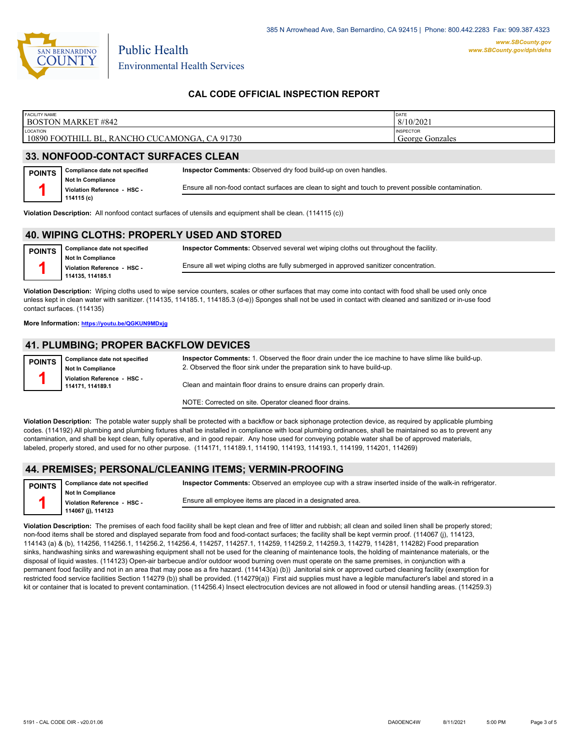

# **CAL CODE OFFICIAL INSPECTION REPORT**

| <b>FACILITY NAME</b>                                                                                              | <b>BOSTON MARKET #842</b>                                           |                                                                                                      | DATE<br>8/10/2021 |  |  |
|-------------------------------------------------------------------------------------------------------------------|---------------------------------------------------------------------|------------------------------------------------------------------------------------------------------|-------------------|--|--|
| LOCATION                                                                                                          | 10890 FOOTHILL BL, RANCHO CUCAMONGA, CA 91730                       | <b>INSPECTOR</b><br>George Gonzales                                                                  |                   |  |  |
|                                                                                                                   | 33. NONFOOD-CONTACT SURFACES CLEAN                                  |                                                                                                      |                   |  |  |
| Inspector Comments: Observed dry food build-up on oven handles.<br>Compliance date not specified<br><b>POINTS</b> |                                                                     |                                                                                                      |                   |  |  |
|                                                                                                                   | <b>Not In Compliance</b><br>Violation Reference HSC -<br>114115 (c) | Ensure all non-food contact surfaces are clean to sight and touch to prevent possible contamination. |                   |  |  |

**Violation Description:** All nonfood contact surfaces of utensils and equipment shall be clean. (114115 (c))

#### **40. WIPING CLOTHS: PROPERLY USED AND STORED**

**Compliance date not specified Not In Compliance Violation Reference - HSC - 114135, 114185.1 POINTS 1 Inspector Comments:** Observed several wet wiping cloths out throughout the facility. Ensure all wet wiping cloths are fully submerged in approved sanitizer concentration.

**Violation Description:** Wiping cloths used to wipe service counters, scales or other surfaces that may come into contact with food shall be used only once unless kept in clean water with sanitizer. (114135, 114185.1, 114185.3 (d-e)) Sponges shall not be used in contact with cleaned and sanitized or in-use food contact surfaces. (114135)

**More Information: <https://youtu.be/QGKUN9MDxjg>**

#### **41. PLUMBING; PROPER BACKFLOW DEVICES**

**Compliance date not specified Not In Compliance Violation Reference - HSC - 114171, 114189.1 POINTS 1**

**Inspector Comments:** 1. Observed the floor drain under the ice machine to have slime like build-up. 2. Observed the floor sink under the preparation sink to have build-up.

Clean and maintain floor drains to ensure drains can properly drain.

NOTE: Corrected on site. Operator cleaned floor drains.

**Violation Description:** The potable water supply shall be protected with a backflow or back siphonage protection device, as required by applicable plumbing codes. (114192) All plumbing and plumbing fixtures shall be installed in compliance with local plumbing ordinances, shall be maintained so as to prevent any contamination, and shall be kept clean, fully operative, and in good repair. Any hose used for conveying potable water shall be of approved materials, labeled, properly stored, and used for no other purpose. (114171, 114189.1, 114190, 114193, 114193.1, 114199, 114201, 114269)

#### **44. PREMISES; PERSONAL/CLEANING ITEMS; VERMIN-PROOFING**

| <b>POINTS</b> | Compliance date not specified | Inspector Comments: Observed an employee cup with a straw inserted inside of the walk-in refrigerator. |  |  |
|---------------|-------------------------------|--------------------------------------------------------------------------------------------------------|--|--|
|               | Not In Compliance             |                                                                                                        |  |  |
|               | Violation Reference - HSC -   | Ensure all employee items are placed in a designated area.                                             |  |  |
|               | 114067 (i), 114123            |                                                                                                        |  |  |

**Violation Description:** The premises of each food facility shall be kept clean and free of litter and rubbish; all clean and soiled linen shall be properly stored; non-food items shall be stored and displayed separate from food and food-contact surfaces; the facility shall be kept vermin proof. (114067 (j), 114123, 114143 (a) & (b), 114256, 114256.1, 114256.2, 114256.4, 114257, 114257.1, 114259, 114259.2, 114259.3, 114279, 114281, 114282) Food preparation sinks, handwashing sinks and warewashing equipment shall not be used for the cleaning of maintenance tools, the holding of maintenance materials, or the disposal of liquid wastes. (114123) Open-air barbecue and/or outdoor wood burning oven must operate on the same premises, in conjunction with a permanent food facility and not in an area that may pose as a fire hazard. (114143(a) (b)) Janitorial sink or approved curbed cleaning facility (exemption for restricted food service facilities Section 114279 (b)) shall be provided. (114279(a)) First aid supplies must have a legible manufacturer's label and stored in a kit or container that is located to prevent contamination. (114256.4) Insect electrocution devices are not allowed in food or utensil handling areas. (114259.3)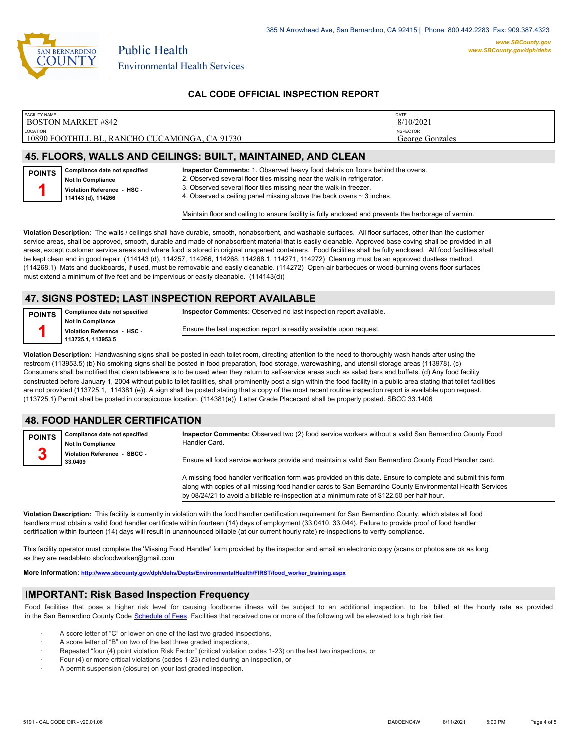

**POINTS 1**

# **CAL CODE OFFICIAL INSPECTION REPORT**

| <b>FACILITY NAME</b><br><b>BOSTON MARKET #842</b>                        | DATE<br>8/10/202                       |
|--------------------------------------------------------------------------|----------------------------------------|
| <b>LOCATION</b><br>10890 FOOTHILL BL.<br>CA 91730<br>. RANCHO CUCAMONGA. | <b>INSPECTOR</b><br>Gonzales<br>George |
|                                                                          |                                        |

# **45. FLOORS, WALLS AND CEILINGS: BUILT, MAINTAINED, AND CLEAN**

**Inspector Comments:** 1. Observed heavy food debris on floors behind the ovens.

2. Observed several floor tiles missing near the walk-in refrigerator.

**Not In Compliance Violation Reference - HSC - 114143 (d), 114266**

**Compliance date not specified**

3. Observed several floor tiles missing near the walk-in freezer.

4. Observed a ceiling panel missing above the back ovens  $\sim$  3 inches.

Maintain floor and ceiling to ensure facility is fully enclosed and prevents the harborage of vermin.

**Violation Description:** The walls / ceilings shall have durable, smooth, nonabsorbent, and washable surfaces. All floor surfaces, other than the customer service areas, shall be approved, smooth, durable and made of nonabsorbent material that is easily cleanable. Approved base coving shall be provided in all areas, except customer service areas and where food is stored in original unopened containers. Food facilities shall be fully enclosed. All food facilities shall be kept clean and in good repair. (114143 (d), 114257, 114266, 114268, 114268.1, 114271, 114272) Cleaning must be an approved dustless method. (114268.1) Mats and duckboards, if used, must be removable and easily cleanable. (114272) Open-air barbecues or wood-burning ovens floor surfaces must extend a minimum of five feet and be impervious or easily cleanable. (114143(d))

# **47. SIGNS POSTED; LAST INSPECTION REPORT AVAILABLE**

**Compliance date not specified Not In Compliance POINTS 1**

**Inspector Comments:** Observed no last inspection report available.

**Violation Reference - HSC - 113725.1, 113953.5**

Ensure the last inspection report is readily available upon request.

**Violation Description:** Handwashing signs shall be posted in each toilet room, directing attention to the need to thoroughly wash hands after using the restroom (113953.5) (b) No smoking signs shall be posted in food preparation, food storage, warewashing, and utensil storage areas (113978). (c) Consumers shall be notified that clean tableware is to be used when they return to self-service areas such as salad bars and buffets. (d) Any food facility constructed before January 1, 2004 without public toilet facilities, shall prominently post a sign within the food facility in a public area stating that toilet facilities are not provided (113725.1, 114381 (e)). A sign shall be posted stating that a copy of the most recent routine inspection report is available upon request. (113725.1) Permit shall be posted in conspicuous location. (114381(e)) Letter Grade Placecard shall be properly posted. SBCC 33.1406

# **48. FOOD HANDLER CERTIFICATION**

| <b>POINTS</b> | Compliance date not specified<br><b>Not In Compliance</b> | Inspector Comments: Observed two (2) food service workers without a valid San Bernardino County Food<br>Handler Card.                                                                                                     |
|---------------|-----------------------------------------------------------|---------------------------------------------------------------------------------------------------------------------------------------------------------------------------------------------------------------------------|
|               | Violation Reference - SBCC -<br>33.0409                   | Ensure all food service workers provide and maintain a valid San Bernardino County Food Handler card.                                                                                                                     |
|               |                                                           | A missing food handler verification form was provided on this date. Ensure to complete and submit this form<br>along with copies of all missing food handler cards to San Bernardino County Environmental Health Services |

**Violation Description:** This facility is currently in violation with the food handler certification requirement for San Bernardino County, which states all food handlers must obtain a valid food handler certificate within fourteen (14) days of employment (33.0410, 33.044). Failure to provide proof of food handler certification within fourteen (14) days will result in unannounced billable (at our current hourly rate) re-inspections to verify compliance.

This facility operator must complete the 'Missing Food Handler' form provided by the inspector and email an electronic copy (scans or photos are ok as long as they are readableto sbcfoodworker@gmail.com

**More Information: [http://www.sbcounty.gov/dph/dehs/Depts/EnvironmentalHealth/FIRST/food\\_worker\\_training.aspx](http://www.sbcounty.gov/dph/dehs/Depts/EnvironmentalHealth/FIRST/food_worker_training.aspx)**

### **IMPORTANT: Risk Based Inspection Frequency**

Food facilities that pose a higher risk level for causing foodborne illness will be subject to an additional inspection, to be billed at the hourly rate as provided in the San Bernardino Count[y Code Schedule of Fees. Facilitie](https://codelibrary.amlegal.com/codes/sanbernardino/latest/sanberncty_ca/0-0-0-122474#JD_16.0213B)s that received one or more of the following will be elevated to a high risk tier:

by 08/24/21 to avoid a billable re-inspection at a minimum rate of \$122.50 per half hour.

- A score letter of "C" or lower on one of the last two graded inspections,
- A score letter of "B" on two of the last three graded inspections,
- Repeated "four (4) point violation Risk Factor" (critical violation codes 1-23) on the last two inspections, or
- · Four (4) or more critical violations (codes 1-23) noted during an inspection, or
- A permit suspension (closure) on your last graded inspection.